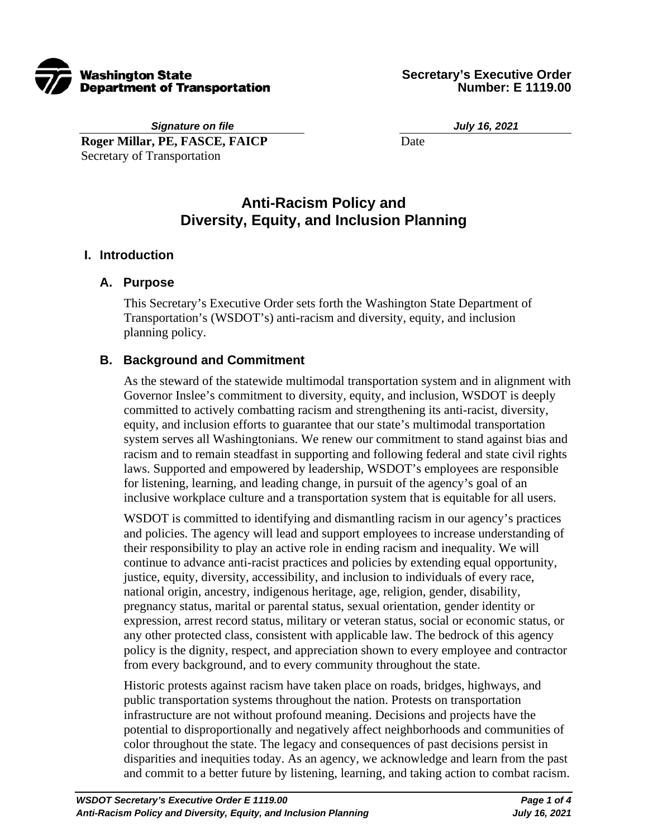

*Signature on file* **Roger Millar, PE, FASCE, FAICP** Secretary of Transportation

*July 16, 2021*

Date

# **Anti-Racism Policy and Diversity, Equity, and Inclusion Planning**

#### **I. Introduction**

#### **A. Purpose**

This Secretary's Executive Order sets forth the Washington State Department of Transportation's (WSDOT's) anti-racism and diversity, equity, and inclusion planning policy.

#### **B. Background and Commitment**

As the steward of the statewide multimodal transportation system and in alignment with Governor Inslee's commitment to diversity, equity, and inclusion, WSDOT is deeply committed to actively combatting racism and strengthening its anti-racist, diversity, equity, and inclusion efforts to guarantee that our state's multimodal transportation system serves all Washingtonians. We renew our commitment to stand against bias and racism and to remain steadfast in supporting and following federal and state civil rights laws. Supported and empowered by leadership, WSDOT's employees are responsible for listening, learning, and leading change, in pursuit of the agency's goal of an inclusive workplace culture and a transportation system that is equitable for all users.

WSDOT is committed to identifying and dismantling racism in our agency's practices and policies. The agency will lead and support employees to increase understanding of their responsibility to play an active role in ending racism and inequality. We will continue to advance anti-racist practices and policies by extending equal opportunity, justice, equity, diversity, accessibility, and inclusion to individuals of every race, national origin, ancestry, indigenous heritage, age, religion, gender, disability, pregnancy status, marital or parental status, sexual orientation, gender identity or expression, arrest record status, military or veteran status, social or economic status, or any other protected class, consistent with applicable law. The bedrock of this agency policy is the dignity, respect, and appreciation shown to every employee and contractor from every background, and to every community throughout the state.

Historic protests against racism have taken place on roads, bridges, highways, and public transportation systems throughout the nation. Protests on transportation infrastructure are not without profound meaning. Decisions and projects have the potential to disproportionally and negatively affect neighborhoods and communities of color throughout the state. The legacy and consequences of past decisions persist in disparities and inequities today. As an agency, we acknowledge and learn from the past and commit to a better future by listening, learning, and taking action to combat racism.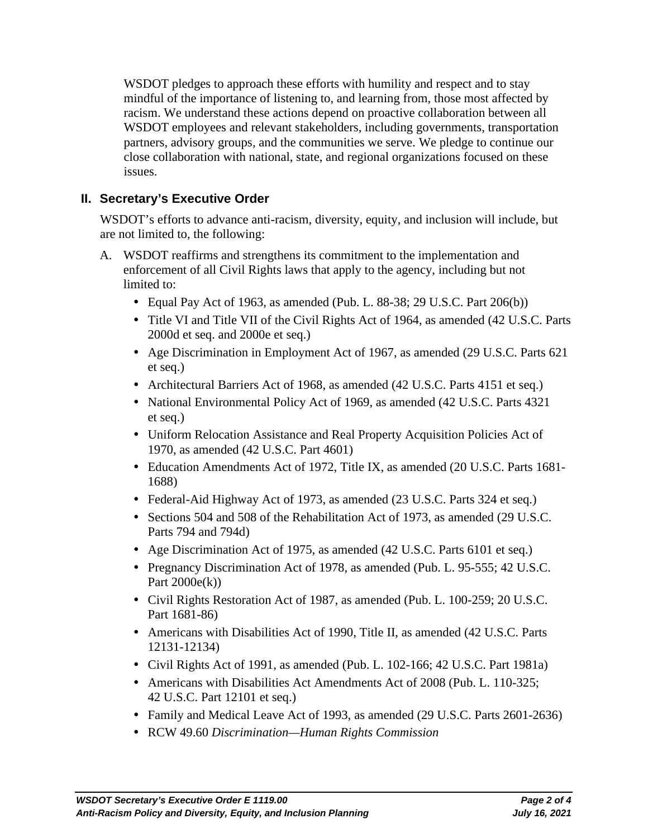WSDOT pledges to approach these efforts with humility and respect and to stay mindful of the importance of listening to, and learning from, those most affected by racism. We understand these actions depend on proactive collaboration between all WSDOT employees and relevant stakeholders, including governments, transportation partners, advisory groups, and the communities we serve. We pledge to continue our close collaboration with national, state, and regional organizations focused on these issues.

### **II. Secretary's Executive Order**

WSDOT's efforts to advance anti-racism, diversity, equity, and inclusion will include, but are not limited to, the following:

- A. WSDOT reaffirms and strengthens its commitment to the implementation and enforcement of all Civil Rights laws that apply to the agency, including but not limited to:
	- Equal Pay Act of 1963, as amended (Pub. L. 88-38; 29 U.S.C. Part 206(b))
	- Title VI and Title VII of the Civil Rights Act of 1964, as amended (42 U.S.C. Parts 2000d et seq. and 2000e et seq.)
	- Age Discrimination in Employment Act of 1967, as amended (29 U.S.C. Parts 621 et seq.)
	- Architectural Barriers Act of 1968, as amended (42 U.S.C. Parts 4151 et seq.)
	- National Environmental Policy Act of 1969, as amended (42 U.S.C. Parts 4321) et seq.)
	- Uniform Relocation Assistance and Real Property Acquisition Policies Act of 1970, as amended (42 U.S.C. Part 4601)
	- Education Amendments Act of 1972, Title IX, as amended (20 U.S.C. Parts 1681- 1688)
	- Federal-Aid Highway Act of 1973, as amended (23 U.S.C. Parts 324 et seq.)
	- Sections 504 and 508 of the Rehabilitation Act of 1973, as amended (29 U.S.C. Parts 794 and 794d)
	- Age Discrimination Act of 1975, as amended (42 U.S.C. Parts 6101 et seq.)
	- Pregnancy Discrimination Act of 1978, as amended (Pub. L. 95-555; 42 U.S.C.) Part  $2000e(k)$
	- Civil Rights Restoration Act of 1987, as amended (Pub. L. 100-259; 20 U.S.C. Part 1681-86)
	- Americans with Disabilities Act of 1990, Title II, as amended (42 U.S.C. Parts 12131-12134)
	- Civil Rights Act of 1991, as amended (Pub. L. 102-166; 42 U.S.C. Part 1981a)
	- Americans with Disabilities Act Amendments Act of 2008 (Pub. L. 110-325; 42 U.S.C. Part 12101 et seq.)
	- Family and Medical Leave Act of 1993, as amended (29 U.S.C. Parts 2601-2636)
	- RCW 49.60 *Discrimination—Human Rights Commission*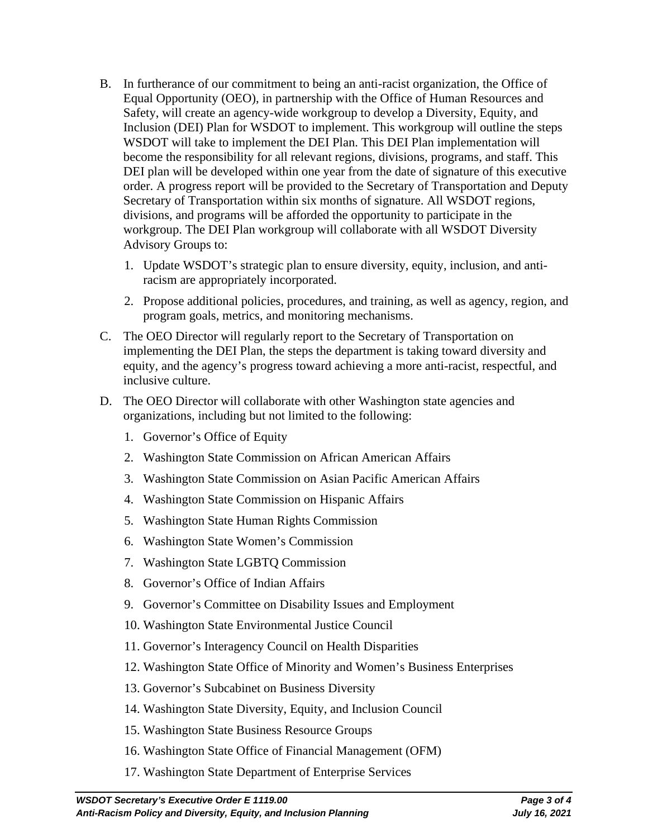- B. In furtherance of our commitment to being an anti-racist organization, the Office of Equal Opportunity (OEO), in partnership with the Office of Human Resources and Safety, will create an agency-wide workgroup to develop a Diversity, Equity, and Inclusion (DEI) Plan for WSDOT to implement. This workgroup will outline the steps WSDOT will take to implement the DEI Plan. This DEI Plan implementation will become the responsibility for all relevant regions, divisions, programs, and staff. This DEI plan will be developed within one year from the date of signature of this executive order. A progress report will be provided to the Secretary of Transportation and Deputy Secretary of Transportation within six months of signature. All WSDOT regions, divisions, and programs will be afforded the opportunity to participate in the workgroup. The DEI Plan workgroup will collaborate with all WSDOT Diversity Advisory Groups to:
	- 1. Update WSDOT's strategic plan to ensure diversity, equity, inclusion, and antiracism are appropriately incorporated.
	- 2. Propose additional policies, procedures, and training, as well as agency, region, and program goals, metrics, and monitoring mechanisms.
- C. The OEO Director will regularly report to the Secretary of Transportation on implementing the DEI Plan, the steps the department is taking toward diversity and equity, and the agency's progress toward achieving a more anti-racist, respectful, and inclusive culture.
- D. The OEO Director will collaborate with other Washington state agencies and organizations, including but not limited to the following:
	- 1. Governor's Office of Equity
	- 2. Washington State Commission on African American Affairs
	- 3. Washington State Commission on Asian Pacific American Affairs
	- 4. Washington State Commission on Hispanic Affairs
	- 5. Washington State Human Rights Commission
	- 6. Washington State Women's Commission
	- 7. Washington State LGBTQ Commission
	- 8. Governor's Office of Indian Affairs
	- 9. Governor's Committee on Disability Issues and Employment
	- 10. Washington State Environmental Justice Council
	- 11. Governor's Interagency Council on Health Disparities
	- 12. Washington State Office of Minority and Women's Business Enterprises
	- 13. Governor's Subcabinet on Business Diversity
	- 14. Washington State Diversity, Equity, and Inclusion Council
	- 15. Washington State Business Resource Groups
	- 16. Washington State Office of Financial Management (OFM)
	- 17. Washington State Department of Enterprise Services